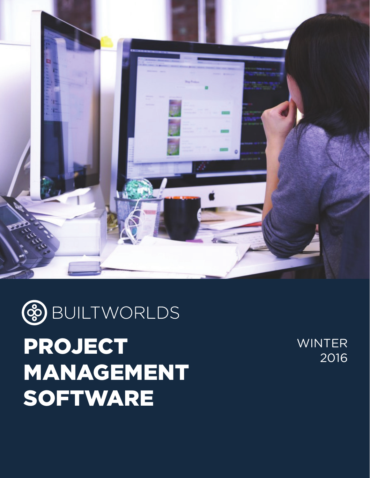



PROJECT MANAGEMENT **SOFTWARE** 

WINTER 2016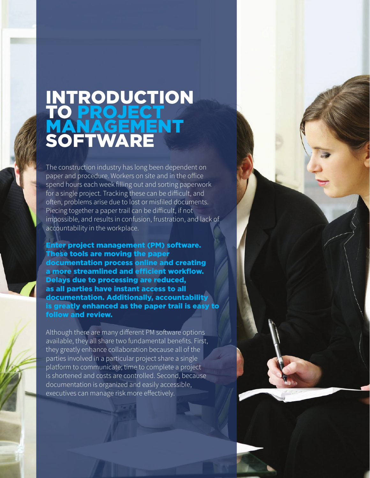## INTRODUCTION TO PROJECT MANAGEMENT **SOFTWARE**

The construction industry has long been dependent on paper and procedure. Workers on site and in the office spend hours each week filling out and sorting paperwork for a single project. Tracking these can be difficult, and often, problems arise due to lost or misfiled documents. Piecing together a paper trail can be difficult, if not impossible, and results in confusion, frustration, and lack of accountability in the workplace.

Enter project management (PM) software. These tools are moving the paper documentation process online and creating a more streamlined and efficient workflow. Delays due to processing are reduced, as all parties have instant access to all documentation. Additionally, accountability is greatly enhanced as the paper trail is easy to follow and review.

Although there are many different PM software options available, they all share two fundamental benefits. First, they greatly enhance collaboration because all of the parties involved in a particular project share a single platform to communicate; time to complete a project is shortened and costs are controlled. Second, because documentation is organized and easily accessible, executives can manage risk more effectively.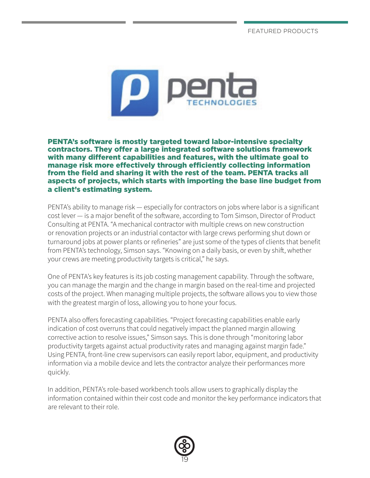FEATURED PRODUCTS



PENTA's software is mostly targeted toward labor-intensive specialty contractors. They offer a large integrated software solutions framework with many different capabilities and features, with the ultimate goal to manage risk more effectively through efficiently collecting information from the field and sharing it with the rest of the team. PENTA tracks all aspects of projects, which starts with importing the base line budget from a client's estimating system.

PENTA's ability to manage risk — especially for contractors on jobs where labor is a significant cost lever — is a major benefit of the software, according to Tom Simson, Director of Product Consulting at PENTA. "A mechanical contractor with multiple crews on new construction or renovation projects or an industrial contactor with large crews performing shut down or turnaround jobs at power plants or refineries" are just some of the types of clients that benefit from PENTA's technology, Simson says. "Knowing on a daily basis, or even by shift, whether your crews are meeting productivity targets is critical," he says.

One of PENTA's key features is its job costing management capability. Through the software, you can manage the margin and the change in margin based on the real-time and projected costs of the project. When managing multiple projects, the software allows you to view those with the greatest margin of loss, allowing you to hone your focus.

PENTA also offers forecasting capabilities. "Project forecasting capabilities enable early indication of cost overruns that could negatively impact the planned margin allowing corrective action to resolve issues," Simson says. This is done through "monitoring labor productivity targets against actual productivity rates and managing against margin fade." Using PENTA, front-line crew supervisors can easily report labor, equipment, and productivity information via a mobile device and lets the contractor analyze their performances more quickly.

In addition, PENTA's role-based workbench tools allow users to graphically display the information contained within their cost code and monitor the key performance indicators that are relevant to their role.